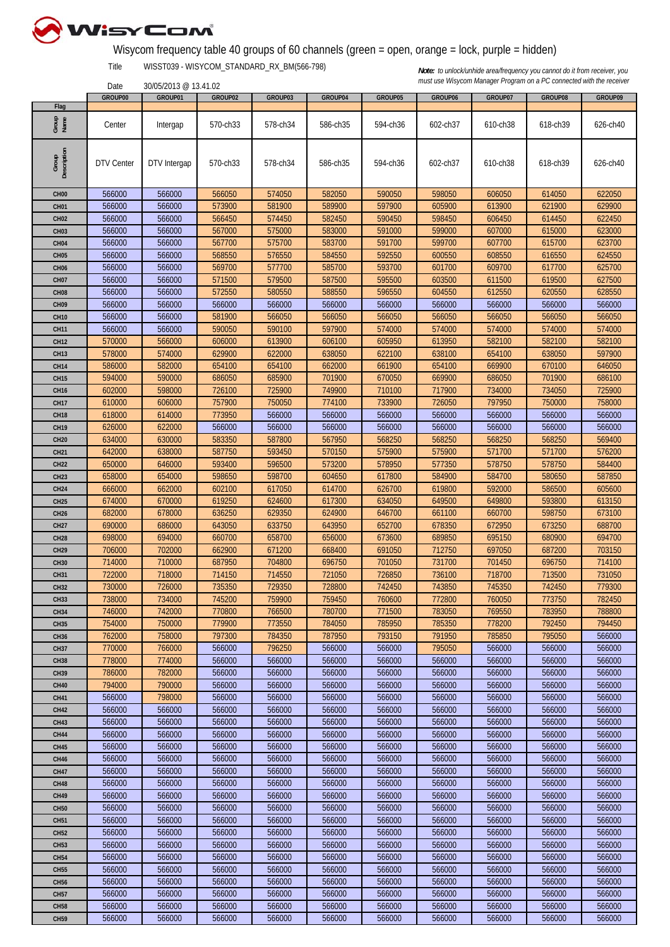

## Wisycom frequency table 40 groups of 60 channels (green = open, orange = lock, purple = hidden)

Title WISST039 - WISYCOM\_STANDARD\_RX\_BM(566-798)

30/05/2013 @ 13.41.02

|                      | GROUP00    | GROUP01      | GROUP02  | GROUP03  | GROUP04  | GROUP05  | GROUP06  | GROUP07  | GROUP08  | GROUP09  |
|----------------------|------------|--------------|----------|----------|----------|----------|----------|----------|----------|----------|
| Flag                 |            |              |          |          |          |          |          |          |          |          |
| Group<br>Name        | Center     | Intergap     | 570-ch33 | 578-ch34 | 586-ch35 | 594-ch36 | 602-ch37 | 610-ch38 | 618-ch39 | 626-ch40 |
|                      |            |              |          |          |          |          |          |          |          |          |
|                      |            |              |          |          |          |          |          |          |          |          |
| Group<br>Description |            |              |          |          |          |          |          |          |          |          |
|                      | DTV Center | DTV Intergap | 570-ch33 | 578-ch34 | 586-ch35 | 594-ch36 | 602-ch37 | 610-ch38 | 618-ch39 | 626-ch40 |
|                      |            |              |          |          |          |          |          |          |          |          |
|                      |            |              |          |          |          |          |          |          |          |          |
| CH <sub>00</sub>     | 566000     | 566000       | 566050   | 574050   | 582050   | 590050   | 598050   | 606050   | 614050   | 622050   |
| <b>CH01</b>          | 566000     | 566000       | 573900   | 581900   | 589900   | 597900   | 605900   | 613900   | 621900   | 629900   |
| <b>CH02</b>          | 566000     | 566000       | 566450   | 574450   | 582450   | 590450   | 598450   | 606450   | 614450   | 622450   |
| CH <sub>03</sub>     | 566000     | 566000       | 567000   | 575000   | 583000   | 591000   | 599000   | 607000   | 615000   | 623000   |
| CH <sub>04</sub>     | 566000     | 566000       | 567700   | 575700   | 583700   | 591700   | 599700   | 607700   | 615700   | 623700   |
| <b>CH05</b>          | 566000     | 566000       | 568550   | 576550   | 584550   | 592550   | 600550   | 608550   | 616550   | 624550   |
|                      |            |              |          |          |          |          |          |          |          |          |
| CH <sub>06</sub>     | 566000     | 566000       | 569700   | 577700   | 585700   | 593700   | 601700   | 609700   | 617700   | 625700   |
| <b>CH07</b>          | 566000     | 566000       | 571500   | 579500   | 587500   | 595500   | 603500   | 611500   | 619500   | 627500   |
| CH <sub>08</sub>     | 566000     | 566000       | 572550   | 580550   | 588550   | 596550   | 604550   | 612550   | 620550   | 628550   |
| CH <sub>09</sub>     | 566000     | 566000       | 566000   | 566000   | 566000   | 566000   | 566000   | 566000   | 566000   | 566000   |
| <b>CH10</b>          | 566000     | 566000       | 581900   | 566050   | 566050   | 566050   | 566050   | 566050   | 566050   | 566050   |
| <b>CH11</b>          | 566000     | 566000       | 590050   | 590100   | 597900   | 574000   | 574000   | 574000   | 574000   | 574000   |
| <b>CH12</b>          | 570000     | 566000       | 606000   | 613900   | 606100   | 605950   | 613950   | 582100   | 582100   | 582100   |
| <b>CH13</b>          | 578000     | 574000       | 629900   | 622000   | 638050   | 622100   | 638100   | 654100   | 638050   | 597900   |
| <b>CH14</b>          | 586000     | 582000       | 654100   | 654100   | 662000   | 661900   | 654100   | 669900   | 670100   | 646050   |
|                      |            |              |          |          |          |          |          |          |          |          |
| <b>CH15</b>          | 594000     | 590000       | 686050   | 685900   | 701900   | 670050   | 669900   | 686050   | 701900   | 686100   |
| <b>CH16</b>          | 602000     | 598000       | 726100   | 725900   | 749900   | 710100   | 717900   | 734000   | 734050   | 725900   |
| <b>CH17</b>          | 610000     | 606000       | 757900   | 750050   | 774100   | 733900   | 726050   | 797950   | 750000   | 758000   |
| <b>CH18</b>          | 618000     | 614000       | 773950   | 566000   | 566000   | 566000   | 566000   | 566000   | 566000   | 566000   |
| <b>CH19</b>          | 626000     | 622000       | 566000   | 566000   | 566000   | 566000   | 566000   | 566000   | 566000   | 566000   |
| <b>CH20</b>          | 634000     | 630000       | 583350   | 587800   | 567950   | 568250   | 568250   | 568250   | 568250   | 569400   |
| <b>CH21</b>          | 642000     | 638000       | 587750   | 593450   | 570150   | 575900   | 575900   | 571700   | 571700   | 576200   |
| <b>CH22</b>          | 650000     | 646000       | 593400   | 596500   | 573200   | 578950   | 577350   | 578750   | 578750   | 584400   |
|                      | 658000     | 654000       | 598650   | 598700   | 604650   | 617800   | 584900   | 584700   | 580650   | 587850   |
| <b>CH23</b>          |            |              |          |          |          |          |          |          |          |          |
| CH <sub>24</sub>     | 666000     | 662000       | 602100   | 617050   | 614700   | 626700   | 619800   | 592000   | 586500   | 605600   |
| <b>CH25</b>          | 674000     | 670000       | 619250   | 624600   | 617300   | 634050   | 649500   | 649800   | 593800   | 613150   |
| <b>CH26</b>          | 682000     | 678000       | 636250   | 629350   | 624900   | 646700   | 661100   | 660700   | 598750   | 673100   |
| CH <sub>27</sub>     | 690000     | 686000       | 643050   | 633750   | 643950   | 652700   | 678350   | 672950   | 673250   | 688700   |
| <b>CH28</b>          | 698000     | 694000       | 660700   | 658700   | 656000   | 673600   | 689850   | 695150   | 680900   | 694700   |
| CH <sub>29</sub>     | 706000     | 702000       | 662900   | 671200   | 668400   | 691050   | 712750   | 697050   | 687200   | 703150   |
| <b>CH30</b>          | 714000     | 710000       | 687950   | 704800   | 696750   | 701050   | 731700   | 701450   | 696750   | 714100   |
| <b>CH31</b>          | 722000     | 718000       | 714150   | 714550   | 721050   | 726850   | 736100   | 718700   | 713500   | 731050   |
| <b>CH32</b>          | 730000     | 726000       | 735350   | 729350   | 728800   | 742450   | 743850   | 745350   | 742450   | 779300   |
|                      |            |              |          |          |          |          |          |          |          |          |
| <b>CH33</b>          | 738000     | 734000       | 745200   | 759900   | 759450   | 760600   | 772800   | 760050   | 773750   | 782450   |
| <b>CH34</b>          | 746000     | 742000       | 770800   | 766500   | 780700   | 771500   | 783050   | 769550   | 783950   | 788800   |
| <b>CH35</b>          | 754000     | 750000       | 779900   | 773550   | 784050   | 785950   | 785350   | 778200   | 792450   | 794450   |
| <b>CH36</b>          | 762000     | 758000       | 797300   | 784350   | 787950   | 793150   | 791950   | 785850   | 795050   | 566000   |
| <b>CH37</b>          | 770000     | 766000       | 566000   | 796250   | 566000   | 566000   | 795050   | 566000   | 566000   | 566000   |
| <b>CH38</b>          | 778000     | 774000       | 566000   | 566000   | 566000   | 566000   | 566000   | 566000   | 566000   | 566000   |
| <b>CH39</b>          | 786000     | 782000       | 566000   | 566000   | 566000   | 566000   | 566000   | 566000   | 566000   | 566000   |
| <b>CH40</b>          | 794000     | 790000       | 566000   | 566000   | 566000   | 566000   | 566000   | 566000   | 566000   | 566000   |
| <b>CH41</b>          | 566000     | 798000       | 566000   | 566000   | 566000   | 566000   | 566000   | 566000   | 566000   | 566000   |
| <b>CH42</b>          | 566000     | 566000       | 566000   | 566000   | 566000   | 566000   | 566000   | 566000   | 566000   | 566000   |
|                      |            |              |          |          |          |          |          |          |          |          |
| <b>CH43</b>          | 566000     | 566000       | 566000   | 566000   | 566000   | 566000   | 566000   | 566000   | 566000   | 566000   |
| <b>CH44</b>          | 566000     | 566000       | 566000   | 566000   | 566000   | 566000   | 566000   | 566000   | 566000   | 566000   |
| <b>CH45</b>          | 566000     | 566000       | 566000   | 566000   | 566000   | 566000   | 566000   | 566000   | 566000   | 566000   |
| <b>CH46</b>          | 566000     | 566000       | 566000   | 566000   | 566000   | 566000   | 566000   | 566000   | 566000   | 566000   |
| <b>CH47</b>          | 566000     | 566000       | 566000   | 566000   | 566000   | 566000   | 566000   | 566000   | 566000   | 566000   |
| <b>CH48</b>          | 566000     | 566000       | 566000   | 566000   | 566000   | 566000   | 566000   | 566000   | 566000   | 566000   |
| <b>CH49</b>          | 566000     | 566000       | 566000   | 566000   | 566000   | 566000   | 566000   | 566000   | 566000   | 566000   |
| <b>CH50</b>          | 566000     | 566000       | 566000   | 566000   | 566000   | 566000   | 566000   | 566000   | 566000   | 566000   |
| <b>CH51</b>          | 566000     | 566000       | 566000   | 566000   | 566000   | 566000   | 566000   | 566000   | 566000   | 566000   |
|                      |            |              |          |          |          |          |          |          |          |          |
| <b>CH52</b>          | 566000     | 566000       | 566000   | 566000   | 566000   | 566000   | 566000   | 566000   | 566000   | 566000   |
| <b>CH53</b>          | 566000     | 566000       | 566000   | 566000   | 566000   | 566000   | 566000   | 566000   | 566000   | 566000   |
| <b>CH54</b>          | 566000     | 566000       | 566000   | 566000   | 566000   | 566000   | 566000   | 566000   | 566000   | 566000   |
| <b>CH55</b>          | 566000     | 566000       | 566000   | 566000   | 566000   | 566000   | 566000   | 566000   | 566000   | 566000   |
| <b>CH56</b>          | 566000     | 566000       | 566000   | 566000   | 566000   | 566000   | 566000   | 566000   | 566000   | 566000   |
| <b>CH57</b>          | 566000     | 566000       | 566000   | 566000   | 566000   | 566000   | 566000   | 566000   | 566000   | 566000   |
| <b>CH58</b>          | 566000     | 566000       | 566000   | 566000   | 566000   | 566000   | 566000   | 566000   | 566000   | 566000   |
| <b>CH59</b>          | 566000     | 566000       | 566000   | 566000   | 566000   | 566000   | 566000   | 566000   | 566000   | 566000   |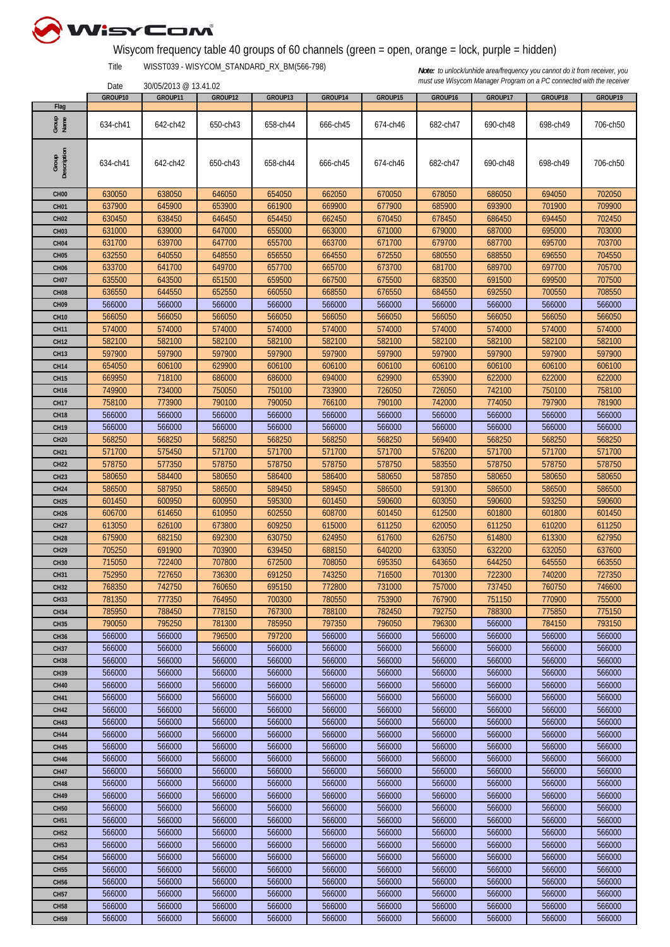

## Wisycom frequency table 40 groups of 60 channels (green = open, orange = lock, purple = hidden)

Title WISST039 - WISYCOM\_STANDARD\_RX\_BM(566-798)

30/05/2013 @ 13.41.02

|                      | GROUP10  | GROUP11  | GROUP12  | GROUP13  | GROUP14  | GROUP15  | GROUP16  | GROUP17  | GROUP18  | GROUP19  |
|----------------------|----------|----------|----------|----------|----------|----------|----------|----------|----------|----------|
| Flag                 |          |          |          |          |          |          |          |          |          |          |
| Group<br>Name        | 634-ch41 | 642-ch42 | 650-ch43 | 658-ch44 | 666-ch45 | 674-ch46 | 682-ch47 | 690-ch48 | 698-ch49 | 706-ch50 |
| Group<br>Description | 634-ch41 | 642-ch42 | 650-ch43 | 658-ch44 | 666-ch45 | 674-ch46 | 682-ch47 | 690-ch48 | 698-ch49 | 706-ch50 |
| CH <sub>00</sub>     | 630050   | 638050   | 646050   | 654050   | 662050   | 670050   | 678050   | 686050   | 694050   | 702050   |
| CH <sub>01</sub>     | 637900   | 645900   | 653900   | 661900   | 669900   | 677900   | 685900   | 693900   | 701900   | 709900   |
| CH <sub>02</sub>     | 630450   | 638450   | 646450   | 654450   | 662450   | 670450   | 678450   | 686450   | 694450   | 702450   |
| CH <sub>03</sub>     | 631000   | 639000   | 647000   | 655000   | 663000   | 671000   | 679000   | 687000   | 695000   | 703000   |
|                      |          |          |          |          |          |          |          |          |          |          |
| CH <sub>04</sub>     | 631700   | 639700   | 647700   | 655700   | 663700   | 671700   | 679700   | 687700   | 695700   | 703700   |
| CH <sub>05</sub>     | 632550   | 640550   | 648550   | 656550   | 664550   | 672550   | 680550   | 688550   | 696550   | 704550   |
| CH <sub>06</sub>     | 633700   | 641700   | 649700   | 657700   | 665700   | 673700   | 681700   | 689700   | 697700   | 705700   |
| <b>CH07</b>          | 635500   | 643500   | 651500   | 659500   | 667500   | 675500   | 683500   | 691500   | 699500   | 707500   |
| CH <sub>08</sub>     | 636550   | 644550   | 652550   | 660550   | 668550   | 676550   | 684550   | 692550   | 700550   | 708550   |
| CH <sub>09</sub>     | 566000   | 566000   | 566000   | 566000   | 566000   | 566000   | 566000   | 566000   | 566000   | 566000   |
| <b>CH10</b>          | 566050   | 566050   | 566050   | 566050   | 566050   | 566050   | 566050   | 566050   | 566050   | 566050   |
| <b>CH11</b>          | 574000   | 574000   | 574000   | 574000   | 574000   | 574000   | 574000   | 574000   | 574000   | 574000   |
| <b>CH12</b>          | 582100   | 582100   | 582100   | 582100   | 582100   | 582100   | 582100   | 582100   | 582100   | 582100   |
| <b>CH13</b>          | 597900   | 597900   | 597900   | 597900   | 597900   | 597900   | 597900   | 597900   | 597900   | 597900   |
| <b>CH14</b>          | 654050   | 606100   | 629900   | 606100   | 606100   | 606100   | 606100   | 606100   | 606100   | 606100   |
| <b>CH15</b>          | 669950   | 718100   | 686000   | 686000   | 694000   | 629900   | 653900   | 622000   | 622000   | 622000   |
| <b>CH16</b>          | 749900   | 734000   | 750050   | 750100   | 733900   | 726050   | 726050   | 742100   | 750100   | 758100   |
| <b>CH17</b>          | 758100   | 773900   | 790100   | 790050   | 766100   | 790100   | 742000   | 774050   | 797900   | 781900   |
|                      |          |          |          |          |          |          |          |          |          |          |
| <b>CH18</b>          | 566000   | 566000   | 566000   | 566000   | 566000   | 566000   | 566000   | 566000   | 566000   | 566000   |
| <b>CH19</b>          | 566000   | 566000   | 566000   | 566000   | 566000   | 566000   | 566000   | 566000   | 566000   | 566000   |
| <b>CH20</b>          | 568250   | 568250   | 568250   | 568250   | 568250   | 568250   | 569400   | 568250   | 568250   | 568250   |
| <b>CH21</b>          | 571700   | 575450   | 571700   | 571700   | 571700   | 571700   | 576200   | 571700   | 571700   | 571700   |
| <b>CH22</b>          | 578750   | 577350   | 578750   | 578750   | 578750   | 578750   | 583550   | 578750   | 578750   | 578750   |
| <b>CH23</b>          | 580650   | 584400   | 580650   | 586400   | 586400   | 580650   | 587850   | 580650   | 580650   | 580650   |
| <b>CH24</b>          | 586500   | 587950   | 586500   | 589450   | 589450   | 586500   | 591300   | 586500   | 586500   | 586500   |
| <b>CH25</b>          | 601450   | 600950   | 600950   | 595300   | 601450   | 590600   | 603050   | 590600   | 593250   | 590600   |
| <b>CH26</b>          | 606700   | 614650   | 610950   | 602550   | 608700   | 601450   | 612500   | 601800   | 601800   | 601450   |
| <b>CH27</b>          | 613050   | 626100   | 673800   | 609250   | 615000   | 611250   | 620050   | 611250   | 610200   | 611250   |
| <b>CH28</b>          | 675900   | 682150   | 692300   | 630750   | 624950   | 617600   | 626750   | 614800   | 613300   | 627950   |
| <b>CH29</b>          | 705250   | 691900   | 703900   | 639450   | 688150   | 640200   | 633050   | 632200   | 632050   | 637600   |
| <b>CH30</b>          | 715050   | 722400   | 707800   | 672500   | 708050   | 695350   | 643650   | 644250   | 645550   | 663550   |
| <b>CH31</b>          | 752950   | 727650   | 736300   | 691250   | 743250   | 716500   | 701300   | 722300   | 740200   | 727350   |
| <b>CH32</b>          | 768350   | 742750   | 760650   | 695150   | 772800   | 731000   | 757000   | 737450   | 760750   | 746600   |
|                      |          |          |          |          |          |          |          |          |          |          |
| <b>CH33</b>          | 781350   | 777350   | 764950   | 700300   | 780550   | 753900   | 767900   | 751150   | 770900   | 755000   |
| <b>CH34</b>          | 785950   | 788450   | 778150   | 767300   | 788100   | 782450   | 792750   | 788300   | 775850   | 775150   |
| <b>CH35</b>          | 790050   | 795250   | 781300   | 785950   | 797350   | 796050   | 796300   | 566000   | 784150   | 793150   |
| <b>CH36</b>          | 566000   | 566000   | 796500   | 797200   | 566000   | 566000   | 566000   | 566000   | 566000   | 566000   |
| <b>CH37</b>          | 566000   | 566000   | 566000   | 566000   | 566000   | 566000   | 566000   | 566000   | 566000   | 566000   |
| <b>CH38</b>          | 566000   | 566000   | 566000   | 566000   | 566000   | 566000   | 566000   | 566000   | 566000   | 566000   |
| <b>CH39</b>          | 566000   | 566000   | 566000   | 566000   | 566000   | 566000   | 566000   | 566000   | 566000   | 566000   |
| <b>CH40</b>          | 566000   | 566000   | 566000   | 566000   | 566000   | 566000   | 566000   | 566000   | 566000   | 566000   |
| <b>CH41</b>          | 566000   | 566000   | 566000   | 566000   | 566000   | 566000   | 566000   | 566000   | 566000   | 566000   |
| <b>CH42</b>          | 566000   | 566000   | 566000   | 566000   | 566000   | 566000   | 566000   | 566000   | 566000   | 566000   |
| <b>CH43</b>          | 566000   | 566000   | 566000   | 566000   | 566000   | 566000   | 566000   | 566000   | 566000   | 566000   |
| <b>CH44</b>          | 566000   | 566000   | 566000   | 566000   | 566000   | 566000   | 566000   | 566000   | 566000   | 566000   |
| <b>CH45</b>          | 566000   | 566000   | 566000   | 566000   | 566000   | 566000   | 566000   | 566000   | 566000   | 566000   |
| <b>CH46</b>          | 566000   | 566000   | 566000   | 566000   | 566000   | 566000   | 566000   | 566000   | 566000   | 566000   |
| <b>CH47</b>          | 566000   | 566000   | 566000   | 566000   | 566000   | 566000   | 566000   | 566000   | 566000   | 566000   |
| <b>CH48</b>          | 566000   | 566000   | 566000   | 566000   | 566000   | 566000   | 566000   | 566000   | 566000   | 566000   |
| <b>CH49</b>          | 566000   | 566000   | 566000   | 566000   | 566000   | 566000   | 566000   | 566000   | 566000   | 566000   |
|                      |          |          |          |          |          |          |          |          |          |          |
| <b>CH50</b>          | 566000   | 566000   | 566000   | 566000   | 566000   | 566000   | 566000   | 566000   | 566000   | 566000   |
| <b>CH51</b>          | 566000   | 566000   | 566000   | 566000   | 566000   | 566000   | 566000   | 566000   | 566000   | 566000   |
| <b>CH52</b>          | 566000   | 566000   | 566000   | 566000   | 566000   | 566000   | 566000   | 566000   | 566000   | 566000   |
| <b>CH53</b>          | 566000   | 566000   | 566000   | 566000   | 566000   | 566000   | 566000   | 566000   | 566000   | 566000   |
| <b>CH54</b>          | 566000   | 566000   | 566000   | 566000   | 566000   | 566000   | 566000   | 566000   | 566000   | 566000   |
| <b>CH55</b>          | 566000   | 566000   | 566000   | 566000   | 566000   | 566000   | 566000   | 566000   | 566000   | 566000   |
| <b>CH56</b>          | 566000   | 566000   | 566000   | 566000   | 566000   | 566000   | 566000   | 566000   | 566000   | 566000   |
| <b>CH57</b>          | 566000   | 566000   | 566000   | 566000   | 566000   | 566000   | 566000   | 566000   | 566000   | 566000   |
| <b>CH58</b>          | 566000   | 566000   | 566000   | 566000   | 566000   | 566000   | 566000   | 566000   | 566000   | 566000   |
| <b>CH59</b>          | 566000   | 566000   | 566000   | 566000   | 566000   | 566000   | 566000   | 566000   | 566000   | 566000   |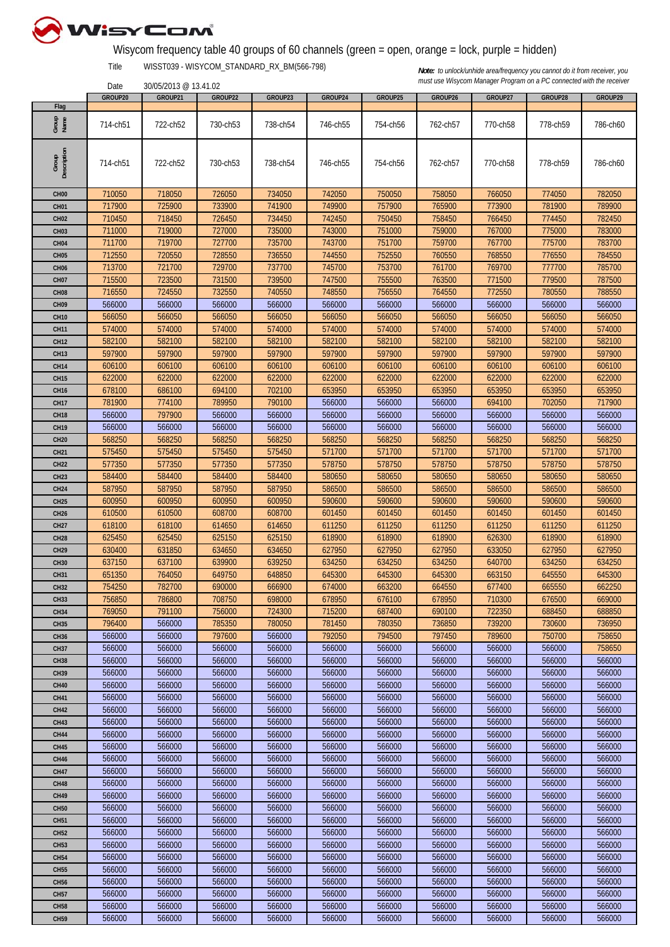

## Wisycom frequency table 40 groups of 60 channels (green = open, orange = lock, purple = hidden)

Title WISST039 - WISYCOM\_STANDARD\_RX\_BM(566-798)

30/05/2013 @ 13.41.02

|                      | GROUP20  | GROUP21  | GROUP22  | GROUP23  | GROUP24  | GROUP25  | GROUP26  | GROUP27  | GROUP28  | GROUP29  |
|----------------------|----------|----------|----------|----------|----------|----------|----------|----------|----------|----------|
| Flag                 |          |          |          |          |          |          |          |          |          |          |
| Group<br>Name        | 714-ch51 | 722-ch52 | 730-ch53 | 738-ch54 | 746-ch55 | 754-ch56 | 762-ch57 | 770-ch58 | 778-ch59 | 786-ch60 |
| Description<br>Group | 714-ch51 | 722-ch52 | 730-ch53 | 738-ch54 | 746-ch55 | 754-ch56 | 762-ch57 | 770-ch58 | 778-ch59 | 786-ch60 |
| CH <sub>00</sub>     | 710050   | 718050   | 726050   | 734050   | 742050   | 750050   | 758050   | 766050   | 774050   | 782050   |
| <b>CH01</b>          | 717900   | 725900   | 733900   | 741900   | 749900   | 757900   | 765900   | 773900   | 781900   | 789900   |
| <b>CH02</b>          | 710450   | 718450   | 726450   | 734450   | 742450   | 750450   | 758450   | 766450   | 774450   | 782450   |
| CH <sub>03</sub>     | 711000   | 719000   | 727000   | 735000   | 743000   | 751000   | 759000   | 767000   | 775000   | 783000   |
|                      |          |          |          |          |          |          |          |          |          |          |
| CH <sub>04</sub>     | 711700   | 719700   | 727700   | 735700   | 743700   | 751700   | 759700   | 767700   | 775700   | 783700   |
| CH <sub>05</sub>     | 712550   | 720550   | 728550   | 736550   | 744550   | 752550   | 760550   | 768550   | 776550   | 784550   |
| <b>CH06</b>          | 713700   | 721700   | 729700   | 737700   | 745700   | 753700   | 761700   | 769700   | 777700   | 785700   |
| CH <sub>07</sub>     | 715500   | 723500   | 731500   | 739500   | 747500   | 755500   | 763500   | 771500   | 779500   | 787500   |
| <b>CH08</b>          | 716550   | 724550   | 732550   | 740550   | 748550   | 756550   | 764550   | 772550   | 780550   | 788550   |
| CH <sub>09</sub>     | 566000   | 566000   | 566000   | 566000   | 566000   | 566000   | 566000   | 566000   | 566000   | 566000   |
| <b>CH10</b>          | 566050   | 566050   | 566050   | 566050   | 566050   | 566050   | 566050   | 566050   | 566050   | 566050   |
| <b>CH11</b>          | 574000   | 574000   | 574000   | 574000   | 574000   | 574000   | 574000   | 574000   | 574000   | 574000   |
| <b>CH12</b>          | 582100   | 582100   | 582100   | 582100   | 582100   | 582100   | 582100   | 582100   | 582100   | 582100   |
| <b>CH13</b>          | 597900   | 597900   | 597900   | 597900   | 597900   | 597900   | 597900   | 597900   | 597900   | 597900   |
| <b>CH14</b>          | 606100   | 606100   | 606100   | 606100   | 606100   | 606100   | 606100   | 606100   | 606100   | 606100   |
| <b>CH15</b>          | 622000   | 622000   | 622000   | 622000   | 622000   | 622000   | 622000   | 622000   | 622000   | 622000   |
| <b>CH16</b>          | 678100   | 686100   | 694100   | 702100   | 653950   | 653950   | 653950   | 653950   | 653950   | 653950   |
|                      |          |          |          |          |          |          |          |          |          |          |
| <b>CH17</b>          | 781900   | 774100   | 789950   | 790100   | 566000   | 566000   | 566000   | 694100   | 702050   | 717900   |
| <b>CH18</b>          | 566000   | 797900   | 566000   | 566000   | 566000   | 566000   | 566000   | 566000   | 566000   | 566000   |
| <b>CH19</b>          | 566000   | 566000   | 566000   | 566000   | 566000   | 566000   | 566000   | 566000   | 566000   | 566000   |
| <b>CH20</b>          | 568250   | 568250   | 568250   | 568250   | 568250   | 568250   | 568250   | 568250   | 568250   | 568250   |
| <b>CH21</b>          | 575450   | 575450   | 575450   | 575450   | 571700   | 571700   | 571700   | 571700   | 571700   | 571700   |
| <b>CH22</b>          | 577350   | 577350   | 577350   | 577350   | 578750   | 578750   | 578750   | 578750   | 578750   | 578750   |
| <b>CH23</b>          | 584400   | 584400   | 584400   | 584400   | 580650   | 580650   | 580650   | 580650   | 580650   | 580650   |
| <b>CH24</b>          | 587950   | 587950   | 587950   | 587950   | 586500   | 586500   | 586500   | 586500   | 586500   | 586500   |
| <b>CH25</b>          | 600950   | 600950   | 600950   | 600950   | 590600   | 590600   | 590600   | 590600   | 590600   | 590600   |
| <b>CH26</b>          | 610500   | 610500   | 608700   | 608700   | 601450   | 601450   | 601450   | 601450   | 601450   | 601450   |
| CH <sub>27</sub>     | 618100   | 618100   | 614650   | 614650   | 611250   | 611250   | 611250   | 611250   | 611250   | 611250   |
| <b>CH28</b>          | 625450   | 625450   | 625150   | 625150   | 618900   | 618900   | 618900   | 626300   | 618900   | 618900   |
| <b>CH29</b>          | 630400   | 631850   | 634650   | 634650   | 627950   | 627950   | 627950   | 633050   | 627950   | 627950   |
|                      | 637150   | 637100   | 639900   | 639250   | 634250   | 634250   | 634250   | 640700   | 634250   | 634250   |
| <b>CH30</b>          |          |          |          |          |          |          |          |          |          |          |
| <b>CH31</b>          | 651350   | 764050   | 649750   | 648850   | 645300   | 645300   | 645300   | 663150   | 645550   | 645300   |
| <b>CH32</b>          | 754250   | 782700   | 690000   | 666900   | 674000   | 663200   | 664550   | 677400   | 665550   | 662250   |
| <b>CH33</b>          | 756850   | 786800   | 708750   | 698000   | 678950   | 676100   | 678950   | 710300   | 676500   | 669000   |
| <b>CH34</b>          | 769050   | 791100   | 756000   | 724300   | 715200   | 687400   | 690100   | 722350   | 688450   | 688850   |
| <b>CH35</b>          | 796400   | 566000   | 785350   | 780050   | 781450   | 780350   | 736850   | 739200   | 730600   | 736950   |
| <b>CH36</b>          | 566000   | 566000   | 797600   | 566000   | 792050   | 794500   | 797450   | 789600   | 750700   | 758650   |
| <b>CH37</b>          | 566000   | 566000   | 566000   | 566000   | 566000   | 566000   | 566000   | 566000   | 566000   | 758650   |
| <b>CH38</b>          | 566000   | 566000   | 566000   | 566000   | 566000   | 566000   | 566000   | 566000   | 566000   | 566000   |
| <b>CH39</b>          | 566000   | 566000   | 566000   | 566000   | 566000   | 566000   | 566000   | 566000   | 566000   | 566000   |
| <b>CH40</b>          | 566000   | 566000   | 566000   | 566000   | 566000   | 566000   | 566000   | 566000   | 566000   | 566000   |
| <b>CH41</b>          | 566000   | 566000   | 566000   | 566000   | 566000   | 566000   | 566000   | 566000   | 566000   | 566000   |
| <b>CH42</b>          | 566000   | 566000   | 566000   | 566000   | 566000   | 566000   | 566000   | 566000   | 566000   | 566000   |
| <b>CH43</b>          | 566000   | 566000   | 566000   | 566000   | 566000   | 566000   | 566000   | 566000   | 566000   | 566000   |
| <b>CH44</b>          | 566000   | 566000   | 566000   | 566000   | 566000   | 566000   | 566000   | 566000   | 566000   | 566000   |
| <b>CH45</b>          | 566000   | 566000   | 566000   | 566000   | 566000   | 566000   | 566000   | 566000   | 566000   | 566000   |
|                      |          |          |          |          |          |          |          |          |          |          |
| <b>CH46</b>          | 566000   | 566000   | 566000   | 566000   | 566000   | 566000   | 566000   | 566000   | 566000   | 566000   |
| <b>CH47</b>          | 566000   | 566000   | 566000   | 566000   | 566000   | 566000   | 566000   | 566000   | 566000   | 566000   |
| <b>CH48</b>          | 566000   | 566000   | 566000   | 566000   | 566000   | 566000   | 566000   | 566000   | 566000   | 566000   |
| <b>CH49</b>          | 566000   | 566000   | 566000   | 566000   | 566000   | 566000   | 566000   | 566000   | 566000   | 566000   |
| <b>CH50</b>          | 566000   | 566000   | 566000   | 566000   | 566000   | 566000   | 566000   | 566000   | 566000   | 566000   |
| <b>CH51</b>          | 566000   | 566000   | 566000   | 566000   | 566000   | 566000   | 566000   | 566000   | 566000   | 566000   |
| <b>CH52</b>          | 566000   | 566000   | 566000   | 566000   | 566000   | 566000   | 566000   | 566000   | 566000   | 566000   |
| <b>CH53</b>          | 566000   | 566000   | 566000   | 566000   | 566000   | 566000   | 566000   | 566000   | 566000   | 566000   |
| <b>CH54</b>          | 566000   | 566000   | 566000   | 566000   | 566000   | 566000   | 566000   | 566000   | 566000   | 566000   |
| <b>CH55</b>          | 566000   | 566000   | 566000   | 566000   | 566000   | 566000   | 566000   | 566000   | 566000   | 566000   |
| <b>CH56</b>          | 566000   | 566000   | 566000   | 566000   | 566000   | 566000   | 566000   | 566000   | 566000   | 566000   |
| <b>CH57</b>          | 566000   | 566000   | 566000   | 566000   | 566000   | 566000   | 566000   | 566000   | 566000   | 566000   |
|                      |          |          |          |          |          |          |          |          |          |          |
| <b>CH58</b>          | 566000   | 566000   | 566000   | 566000   | 566000   | 566000   | 566000   | 566000   | 566000   | 566000   |
| <b>CH59</b>          | 566000   | 566000   | 566000   | 566000   | 566000   | 566000   | 566000   | 566000   | 566000   | 566000   |